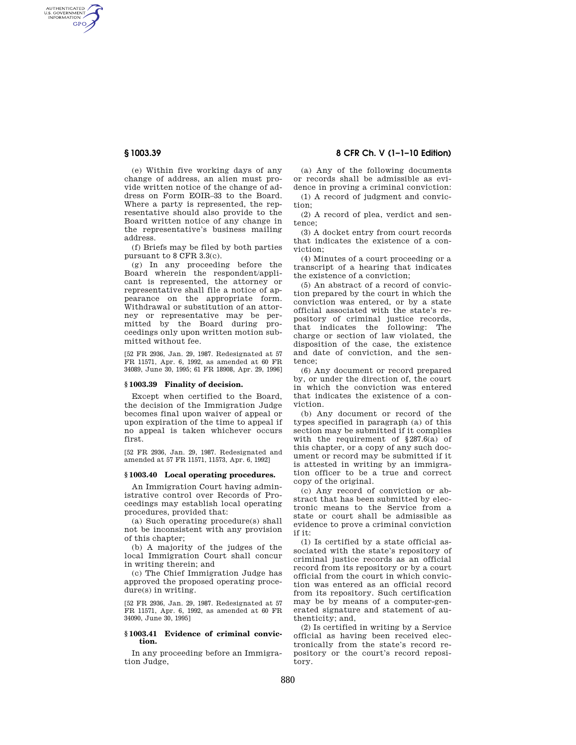AUTHENTICATED<br>U.S. GOVERNMENT<br>INFORMATION GPO

> (e) Within five working days of any change of address, an alien must provide written notice of the change of address on Form EOIR–33 to the Board. Where a party is represented, the representative should also provide to the Board written notice of any change in the representative's business mailing address.

(f) Briefs may be filed by both parties pursuant to 8 CFR 3.3(c).

(g) In any proceeding before the Board wherein the respondent/applicant is represented, the attorney or representative shall file a notice of appearance on the appropriate form. Withdrawal or substitution of an attorney or representative may be permitted by the Board during proceedings only upon written motion submitted without fee.

[52 FR 2936, Jan. 29, 1987. Redesignated at 57 FR 11571, Apr. 6, 1992, as amended at 60 FR 34089, June 30, 1995; 61 FR 18908, Apr. 29, 1996]

#### **§ 1003.39 Finality of decision.**

Except when certified to the Board, the decision of the Immigration Judge becomes final upon waiver of appeal or upon expiration of the time to appeal if no appeal is taken whichever occurs first.

[52 FR 2936, Jan. 29, 1987. Redesignated and amended at 57 FR 11571, 11573, Apr. 6, 1992]

## **§ 1003.40 Local operating procedures.**

An Immigration Court having administrative control over Records of Proceedings may establish local operating procedures, provided that:

(a) Such operating procedure(s) shall not be inconsistent with any provision of this chapter;

(b) A majority of the judges of the local Immigration Court shall concur in writing therein; and

(c) The Chief Immigration Judge has approved the proposed operating procedure(s) in writing.

[52 FR 2936, Jan. 29, 1987. Redesignated at 57 FR 11571, Apr. 6, 1992, as amended at 60 FR 34090, June 30, 1995]

### **§ 1003.41 Evidence of criminal conviction.**

In any proceeding before an Immigration Judge,

# **§ 1003.39 8 CFR Ch. V (1–1–10 Edition)**

(a) Any of the following documents or records shall be admissible as evidence in proving a criminal conviction:

(1) A record of judgment and conviction;

(2) A record of plea, verdict and sentence;

(3) A docket entry from court records that indicates the existence of a conviction;

(4) Minutes of a court proceeding or a transcript of a hearing that indicates the existence of a conviction;

(5) An abstract of a record of conviction prepared by the court in which the conviction was entered, or by a state official associated with the state's repository of criminal justice records, that indicates the following: The charge or section of law violated, the disposition of the case, the existence and date of conviction, and the sentence;

(6) Any document or record prepared by, or under the direction of, the court in which the conviction was entered that indicates the existence of a conviction.

(b) Any document or record of the types specified in paragraph (a) of this section may be submitted if it complies with the requirement of §287.6(a) of this chapter, or a copy of any such document or record may be submitted if it is attested in writing by an immigration officer to be a true and correct copy of the original.

(c) Any record of conviction or abstract that has been submitted by electronic means to the Service from a state or court shall be admissible as evidence to prove a criminal conviction if it:

(1) Is certified by a state official associated with the state's repository of criminal justice records as an official record from its repository or by a court official from the court in which conviction was entered as an official record from its repository. Such certification may be by means of a computer-generated signature and statement of authenticity; and,

(2) Is certified in writing by a Service official as having been received electronically from the state's record repository or the court's record repository.